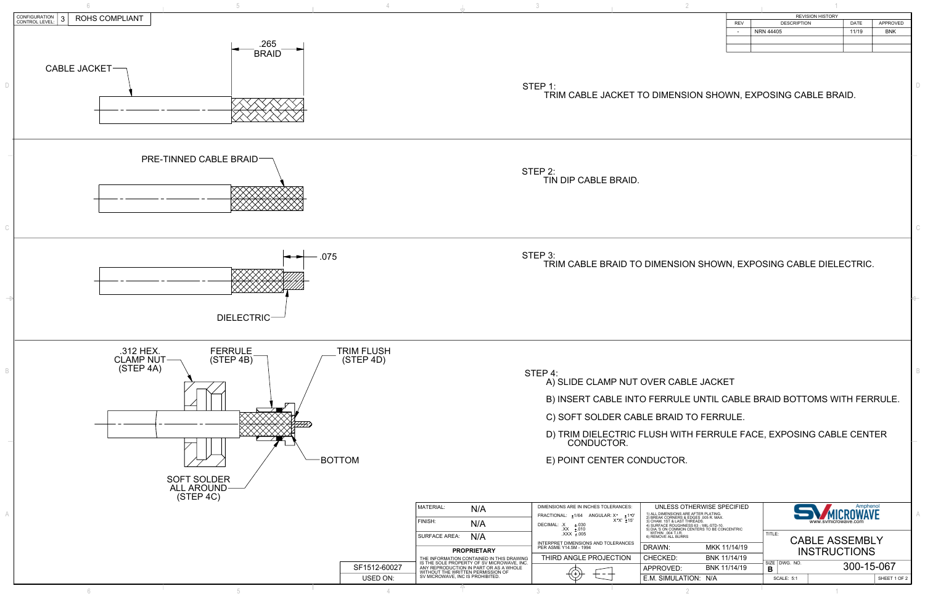

| <b>REVISION HISTORY</b> |                    |       |                 |  |  |  |
|-------------------------|--------------------|-------|-----------------|--|--|--|
| <b>REV</b>              | <b>DESCRIPTION</b> | DATE  | <b>APPROVED</b> |  |  |  |
| ٠                       | NRN 44405          | 11/19 | <b>BNK</b>      |  |  |  |
|                         |                    |       |                 |  |  |  |
|                         |                    |       |                 |  |  |  |
|                         |                    |       |                 |  |  |  |